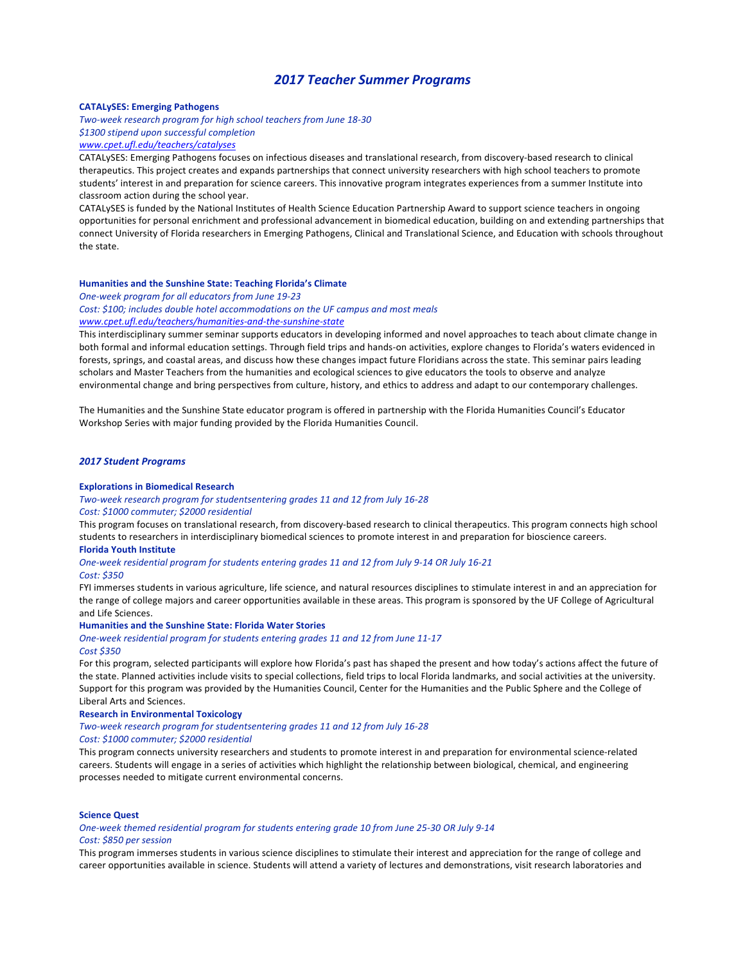# *2017 Teacher Summer Programs*

## **CATALySES: Emerging Pathogens**

*Two-week research program for high school teachers from June 18-30*

*\$1300 stipend upon successful completion*

# *www.cpet.ufl.edu/teachers/catalyses*

CATALySES: Emerging Pathogens focuses on infectious diseases and translational research, from discovery-based research to clinical therapeutics. This project creates and expands partnerships that connect university researchers with high school teachers to promote students' interest in and preparation for science careers. This innovative program integrates experiences from a summer Institute into classroom action during the school year.

CATALySES is funded by the National Institutes of Health Science Education Partnership Award to support science teachers in ongoing opportunities for personal enrichment and professional advancement in biomedical education, building on and extending partnerships that connect University of Florida researchers in Emerging Pathogens, Clinical and Translational Science, and Education with schools throughout the state.

#### **Humanities and the Sunshine State: Teaching Florida's Climate**

*One-week program for all educators from June 19-23*

Cost: \$100; includes double hotel accommodations on the UF campus and most meals *www.cpet.ufl.edu/teachers/humanities-and-the-sunshine-state*

This interdisciplinary summer seminar supports educators in developing informed and novel approaches to teach about climate change in both formal and informal education settings. Through field trips and hands-on activities, explore changes to Florida's waters evidenced in forests, springs, and coastal areas, and discuss how these changes impact future Floridians across the state. This seminar pairs leading scholars and Master Teachers from the humanities and ecological sciences to give educators the tools to observe and analyze environmental change and bring perspectives from culture, history, and ethics to address and adapt to our contemporary challenges.

The Humanities and the Sunshine State educator program is offered in partnership with the Florida Humanities Council's Educator Workshop Series with major funding provided by the Florida Humanities Council.

## *2017 Student Programs*

## **Explorations in Biomedical Research**

*Two-week research program for studentsentering grades 11 and 12 from July 16-28*

## *Cost: \$1000 commuter; \$2000 residential*

This program focuses on translational research, from discovery-based research to clinical therapeutics. This program connects high school students to researchers in interdisciplinary biomedical sciences to promote interest in and preparation for bioscience careers.

## **Florida Youth Institute**

*One-week residential program for students entering grades 11 and 12 from July 9-14 OR July 16-21 Cost: \$350*

FYI immerses students in various agriculture, life science, and natural resources disciplines to stimulate interest in and an appreciation for the range of college majors and career opportunities available in these areas. This program is sponsored by the UF College of Agricultural and Life Sciences.

## **Humanities and the Sunshine State: Florida Water Stories**

*One-week residential program for students entering grades 11 and 12 from June 11-17 Cost \$350*

For this program, selected participants will explore how Florida's past has shaped the present and how today's actions affect the future of the state. Planned activities include visits to special collections, field trips to local Florida landmarks, and social activities at the university. Support for this program was provided by the Humanities Council, Center for the Humanities and the Public Sphere and the College of Liberal Arts and Sciences.

### **Research in Environmental Toxicology**

*Two-week research program for studentsentering grades 11 and 12 from July 16-28 Cost: \$1000 commuter; \$2000 residential*

This program connects university researchers and students to promote interest in and preparation for environmental science-related careers. Students will engage in a series of activities which highlight the relationship between biological, chemical, and engineering processes needed to mitigate current environmental concerns.

## **Science Quest**

One-week themed residential program for students entering grade 10 from June 25-30 OR July 9-14 *Cost: \$850 per session*

This program immerses students in various science disciplines to stimulate their interest and appreciation for the range of college and career opportunities available in science. Students will attend a variety of lectures and demonstrations, visit research laboratories and